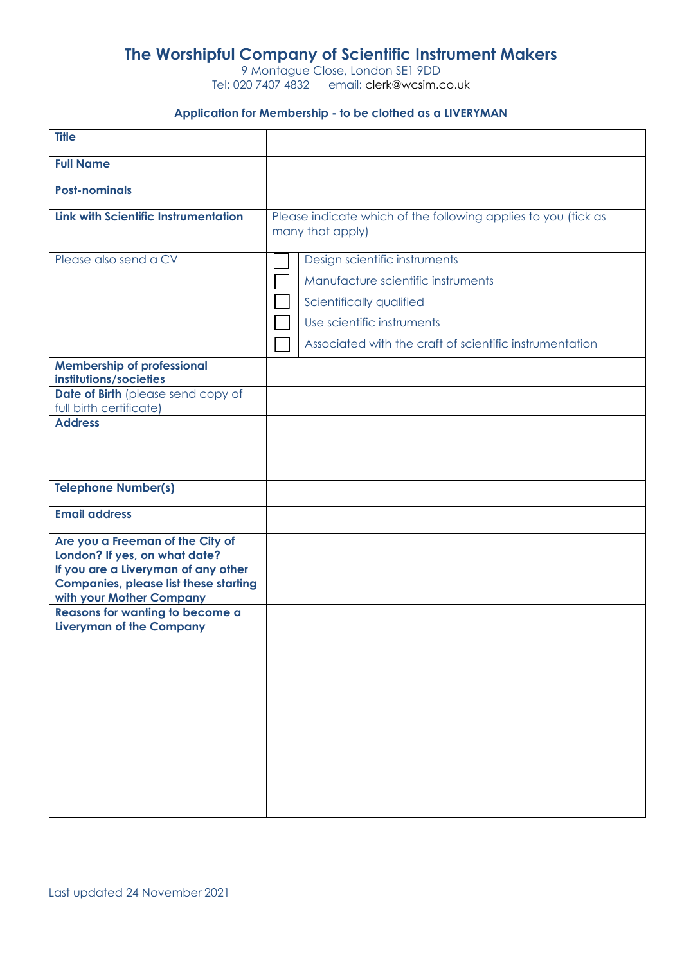## **The Worshipful Company of Scientific Instrument Makers**

9 Montague Close, London SE1 9DD Tel: 020 7407 4832 email: clerk@wcsim.co.uk

## **Application for Membership - to be clothed as a LIVERYMAN**

| <b>Title</b>                                                                                                    |                                                                                                                                                                                          |  |
|-----------------------------------------------------------------------------------------------------------------|------------------------------------------------------------------------------------------------------------------------------------------------------------------------------------------|--|
| <b>Full Name</b>                                                                                                |                                                                                                                                                                                          |  |
| <b>Post-nominals</b>                                                                                            |                                                                                                                                                                                          |  |
| <b>Link with Scientific Instrumentation</b>                                                                     | Please indicate which of the following applies to you (tick as<br>many that apply)                                                                                                       |  |
| Please also send a CV                                                                                           | Design scientific instruments<br>Manufacture scientific instruments<br>Scientifically qualified<br>Use scientific instruments<br>Associated with the craft of scientific instrumentation |  |
| <b>Membership of professional</b><br>institutions/societies                                                     |                                                                                                                                                                                          |  |
| Date of Birth (please send copy of<br>full birth certificate)                                                   |                                                                                                                                                                                          |  |
| <b>Address</b>                                                                                                  |                                                                                                                                                                                          |  |
| <b>Telephone Number(s)</b>                                                                                      |                                                                                                                                                                                          |  |
| <b>Email address</b>                                                                                            |                                                                                                                                                                                          |  |
| Are you a Freeman of the City of<br>London? If yes, on what date?                                               |                                                                                                                                                                                          |  |
| If you are a Liveryman of any other<br><b>Companies, please list these starting</b><br>with your Mother Company |                                                                                                                                                                                          |  |
| Reasons for wanting to become a<br><b>Liveryman of the Company</b>                                              |                                                                                                                                                                                          |  |